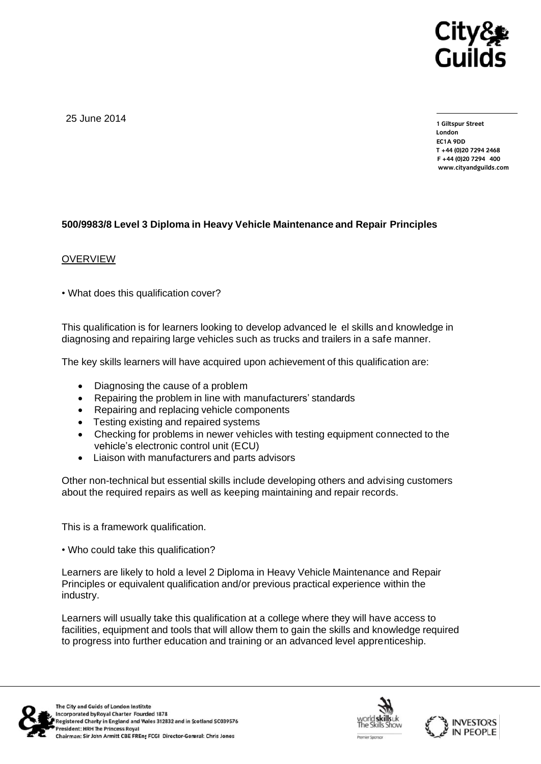

25 June 2014

**1 Giltspur Street EC1A 9DD** T +44 (0)20 7294 2468 **T +44 (0)20 7294 2468 F [+44 \(0\)20 7294](http://www.cityandguilds.com/) 400 www.cityandguilds.com**

## **500/9983/8 Level 3 Diploma in Heavy Vehicle Maintenance and Repair Principles**

## **OVERVIEW**

• What does this qualification cover?

This qualification is for learners looking to develop advanced le el skills and knowledge in diagnosing and repairing large vehicles such as trucks and trailers in a safe manner.

The key skills learners will have acquired upon achievement of this qualification are:

- Diagnosing the cause of a problem
- Repairing the problem in line with manufacturers' standards
- Repairing and replacing vehicle components
- Testing existing and repaired systems
- Checking for problems in newer vehicles with testing equipment connected to the vehicle's electronic control unit (ECU)
- Liaison with manufacturers and parts advisors

Other non-technical but essential skills include developing others and advising customers about the required repairs as well as keeping maintaining and repair records.

This is a framework qualification.

• Who could take this qualification?

Learners are likely to hold a level 2 Diploma in Heavy Vehicle Maintenance and Repair Principles or equivalent qualification and/or previous practical experience within the industry.

Learners will usually take this qualification at a college where they will have access to facilities, equipment and tools that will allow them to gain the skills and knowledge required to progress into further education and training or an advanced level apprenticeship.